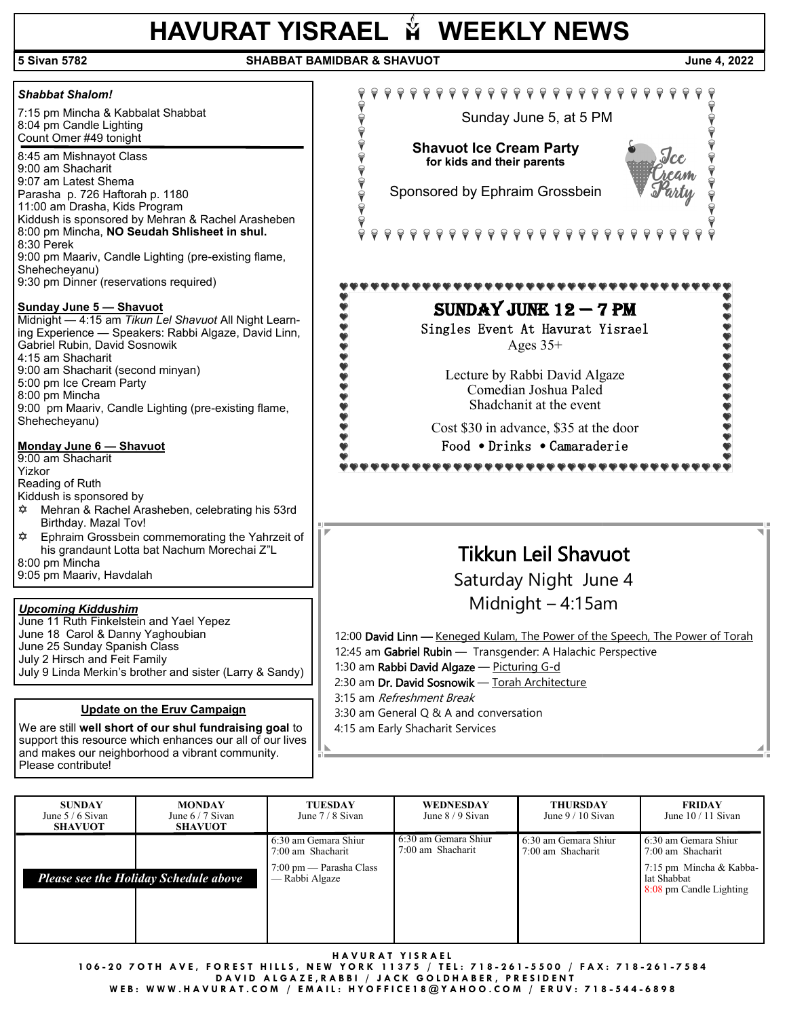## **HAVURAT YISRAEL**  $\tilde{M}$  **WEEKLY NEWS**

## **5 Sivan 5782 SHABBAT BAMIDBAR & SHAVUOT June 4, 2022**   $\texttt{p} \texttt{p} \texttt{p} \texttt{p} \texttt{p} \texttt{p} \texttt{p} \texttt{p} \texttt{p} \texttt{p} \texttt{p} \texttt{p} \texttt{p} \texttt{p} \texttt{p}$ *Shabbat Shalom!* 7:15 pm Mincha & Kabbalat Shabbat Sunday June 5, at 5 PM 8:04 pm Candle Lighting Count Omer #49 tonight **Shavuot Ice Cream Party** 8:45 am Mishnayot Class **for kids and their parents**  9:00 am Shacharit 9:07 am Latest Shema Sponsored by Ephraim Grossbein Parasha p. 726 Haftorah p. 1180 11:00 am Drasha, Kids Program Kiddush is sponsored by Mehran & Rachel Arasheben 8:00 pm Mincha, **NO Seudah Shlisheet in shul.** 9 9 9 9 9 9 9 9 9 8:30 Perek 9:00 pm Maariv, Candle Lighting (pre-existing flame, Shehecheyanu) 9:30 pm Dinner (reservations required) ,,,,,,,,,,,,, SUNDAY JUNE  $12 - 7$  PM **Sunday June 5 — Shavuot** Midnight — 4:15 am *Tikun Lel Shavuot* All Night Learn-Singles Event At Havurat Yisrael ing Experience — Speakers: Rabbi Algaze, David Linn, Gabriel Rubin, David Sosnowik Ages  $35+$ 4:15 am Shacharit 9:00 am Shacharit (second minyan) Lecture by Rabbi David Algaze 5:00 pm Ice Cream Party Comedian Joshua Paled 8:00 pm Mincha Shadchanit at the event 9:00 pm Maariv, Candle Lighting (pre-existing flame, Shehecheyanu) Cost \$30 in advance, \$35 at the door **Monday June 6 — Shavuot** Food *•* Drinks *•* Camaraderie 9:00 am Shacharit ............... Yizkor Reading of Ruth Kiddush is sponsored by Mehran & Rachel Arasheben, celebrating his 53rd Birthday. Mazal Tov! Ephraim Grossbein commemorating the Yahrzeit of his grandaunt Lotta bat Nachum Morechai Z"L Tikkun Leil Shavuot 8:00 pm Mincha 9:05 pm Maariv, Havdalah Saturday Night June 4 Midnight – 4:15am *Upcoming Kiddushim* June 11 Ruth Finkelstein and Yael Yepez June 18 Carol & Danny Yaghoubian 12:00 David Linn - Keneged Kulam, The Power of the Speech, The Power of Torah June 25 Sunday Spanish Class 12:45 am Gabriel Rubin - Transgender: A Halachic Perspective July 2 Hirsch and Feit Family 1:30 am Rabbi David Algaze - Picturing G-d July 9 Linda Merkin's brother and sister (Larry & Sandy) 2:30 am Dr. David Sosnowik - Torah Architecture 3:15 am Refreshment Break **Update on the Eruv Campaign**

We are still **well short of our shul fundraising goal** to support this resource which enhances our all of our lives and makes our neighborhood a vibrant community.

Please contribute!

3:30 am General Q & A and conversation

4:15 am Early Shacharit Services

 **SUNDAY** June 5 / 6 Sivan **SHAVUOT MONDAY**  June 6 / 7 Sivan **SHAVUOT TUESDAY** June 7 / 8 Sivan 6:30 am Gemara Shiur 7:00 am Shacharit 7:00 pm — Parasha Class — Rabbi Algaze **WEDNESDAY** June 8 / 9 Sivan 6:30 am Gemara Shiur 7:00 am Shacharit **THURSDAY**  June 9 / 10 Sivan 6:30 am Gemara Shiur 7:00 am Shacharit **FRIDAY** June 10 / 11 Sivan  $\overline{a}$ 6:30 am Gemara Shiur 7:00 am Shacharit 7:15 pm Mincha & Kabbalat Shabbat 8:08 pm Candle Lighting *Please see the Holiday Schedule above*

**H A V U R A T Y I S R A E L** 

**106 - 2 0 7 O T H A V E , F O R E S T H I L L S , N E W Y O R K 1 1 3 7 5 / T E L : 7 1 8 - 261 - 5 5 0 0 / F A X : 7 1 8 - 261 - 7584** 

**DAVID ALGAZE, RABBI / JACK GOLDHABER, PRESIDENT** 

**W E B : W W W . H A V U R A T . C O M / E M A I L : H Y O F F I C E 1 8 @ Y A H O O . C O M / E R U V : 7 1 8 - 544 - 6898**